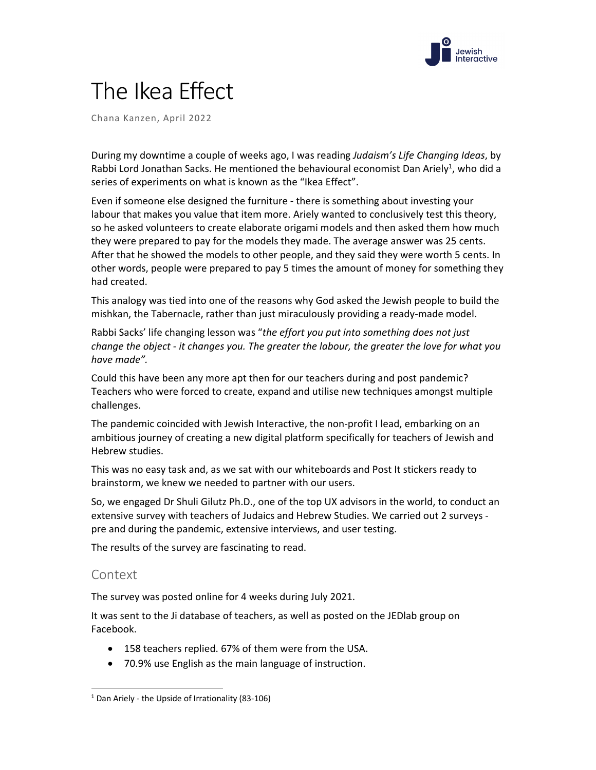

# The Ikea Effect

Chana Kanzen, April 2022

During my downtime a couple of weeks ago, I was reading *Judaism's Life Changing Ideas*, by Rabbi Lord Jonathan Sacks. He mentioned the behavioural economist Dan Ariely<sup>1</sup>, who did a series of experiments on what is known as the "Ikea Effect".

Even if someone else designed the furniture ‐ there is something about investing your labour that makes you value that item more. Ariely wanted to conclusively test this theory, so he asked volunteers to create elaborate origami models and then asked them how much they were prepared to pay for the models they made. The average answer was 25 cents. After that he showed the models to other people, and they said they were worth 5 cents. In other words, people were prepared to pay 5 times the amount of money for something they had created.

This analogy was tied into one of the reasons why God asked the Jewish people to build the mishkan, the Tabernacle, rather than just miraculously providing a ready‐made model.

Rabbi Sacks' life changing lesson was "*the effort you put into something does not just change the object ‐ it changes you. The greater the labour, the greater the love for what you have made".*

Could this have been any more apt then for our teachers during and post pandemic? Teachers who were forced to create, expand and utilise new techniques amongst multiple challenges.

The pandemic coincided with Jewish Interactive, the non‐profit I lead, embarking on an ambitious journey of creating a new digital platform specifically for teachers of Jewish and Hebrew studies.

This was no easy task and, as we sat with our whiteboards and Post It stickers ready to brainstorm, we knew we needed to partner with our users.

So, we engaged Dr Shuli Gilutz Ph.D., one of the top UX advisors in the world, to conduct an extensive survey with teachers of Judaics and Hebrew Studies. We carried out 2 surveys ‐ pre and during the pandemic, extensive interviews, and user testing.

The results of the survey are fascinating to read.

# Context

The survey was posted online for 4 weeks during July 2021.

It was sent to the Ji database of teachers, as well as posted on the JEDlab group on Facebook.

- 158 teachers replied. 67% of them were from the USA.
- 70.9% use English as the main language of instruction.

 $1$  Dan Ariely - the Upside of Irrationality (83-106)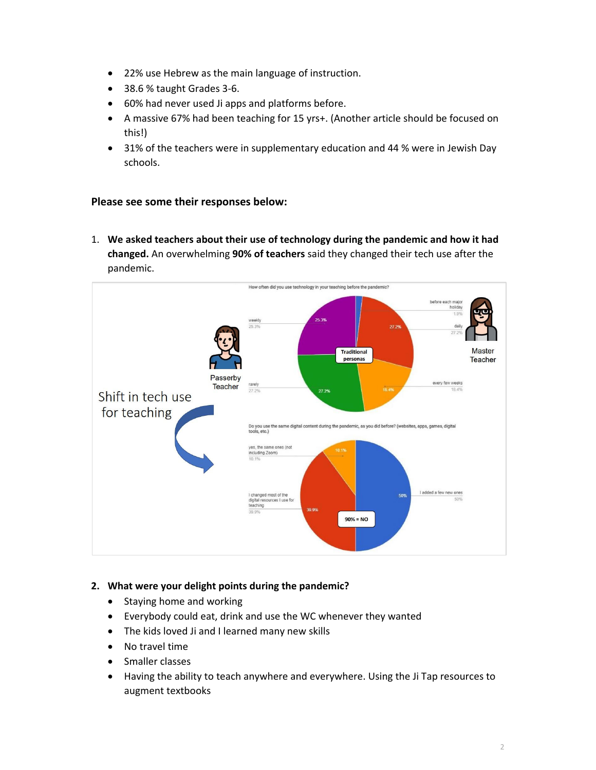- 22% use Hebrew as the main language of instruction.
- 38.6 % taught Grades 3-6.
- 60% had never used Ji apps and platforms before.
- A massive 67% had been teaching for 15 yrs+. (Another article should be focused on this!)
- 31% of the teachers were in supplementary education and 44 % were in Jewish Day schools.

# **Please see some their responses below:**

1. **We asked teachers about their use of technology during the pandemic and how it had changed.** An overwhelming **90% of teachers** said they changed their tech use after the pandemic.



# **2. What were your delight points during the pandemic?**

- Staying home and working
- Everybody could eat, drink and use the WC whenever they wanted
- The kids loved Ji and I learned many new skills
- No travel time
- Smaller classes
- Having the ability to teach anywhere and everywhere. Using the Ji Tap resources to augment textbooks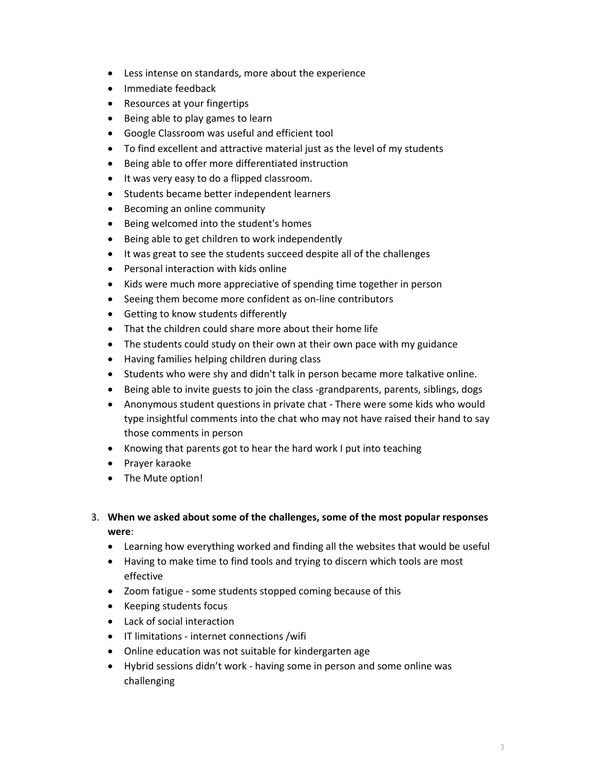- Less intense on standards, more about the experience
- Immediate feedback
- Resources at your fingertips
- Being able to play games to learn
- Google Classroom was useful and efficient tool
- To find excellent and attractive material just as the level of my students
- Being able to offer more differentiated instruction
- It was very easy to do a flipped classroom.
- Students became better independent learners
- Becoming an online community
- Being welcomed into the student's homes
- Being able to get children to work independently
- It was great to see the students succeed despite all of the challenges
- Personal interaction with kids online
- Kids were much more appreciative of spending time together in person
- Seeing them become more confident as on-line contributors
- Getting to know students differently
- That the children could share more about their home life
- The students could study on their own at their own pace with my guidance
- Having families helping children during class
- Students who were shy and didn't talk in person became more talkative online.
- Being able to invite guests to join the class -grandparents, parents, siblings, dogs
- Anonymous student questions in private chat ‐ There were some kids who would type insightful comments into the chat who may not have raised their hand to say those comments in person
- Knowing that parents got to hear the hard work I put into teaching
- Prayer karaoke
- The Mute option!
- 3. **When we asked about some of the challenges, some of the most popular responses were**:
	- Learning how everything worked and finding all the websites that would be useful
	- Having to make time to find tools and trying to discern which tools are most effective
	- Zoom fatigue some students stopped coming because of this
	- Keeping students focus
	- Lack of social interaction
	- IT limitations internet connections /wifi
	- Online education was not suitable for kindergarten age
	- Hybrid sessions didn't work ‐ having some in person and some online was challenging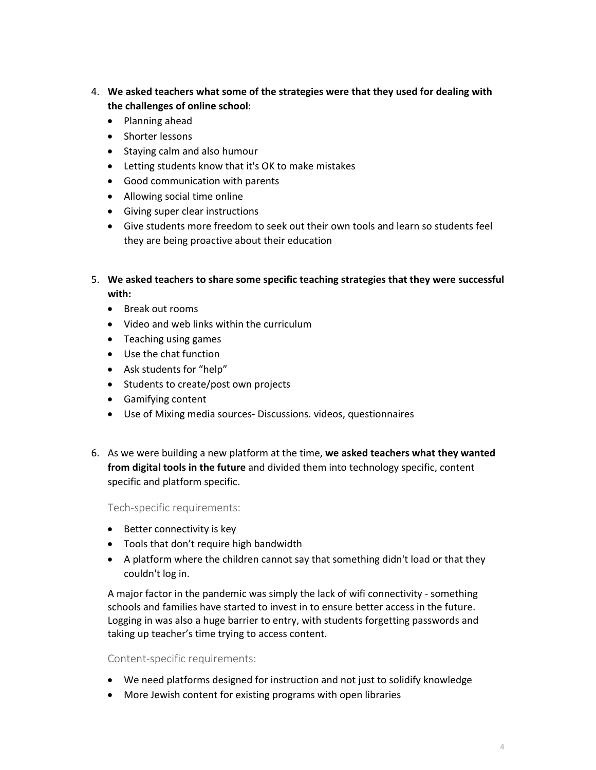- 4. **We asked teachers what some of the strategies were that they used for dealing with the challenges of online school**:
	- Planning ahead
	- Shorter lessons
	- Staying calm and also humour
	- Letting students know that it's OK to make mistakes
	- Good communication with parents
	- Allowing social time online
	- Giving super clear instructions
	- Give students more freedom to seek out their own tools and learn so students feel they are being proactive about their education
- 5. **We asked teachers to share some specific teaching strategies that they were successful with:**
	- Break out rooms
	- Video and web links within the curriculum
	- Teaching using games
	- Use the chat function
	- Ask students for "help"
	- Students to create/post own projects
	- Gamifying content
	- Use of Mixing media sources- Discussions. videos, questionnaires
- 6. As we were building a new platform at the time, **we asked teachers what they wanted from digital tools in the future** and divided them into technology specific, content specific and platform specific.

#### Tech‐specific requirements:

- Better connectivity is key
- Tools that don't require high bandwidth
- A platform where the children cannot say that something didn't load or that they couldn't log in.

A major factor in the pandemic was simply the lack of wifi connectivity ‐ something schools and families have started to invest in to ensure better access in the future. Logging in was also a huge barrier to entry, with students forgetting passwords and taking up teacher's time trying to access content.

#### Content‐specific requirements:

- We need platforms designed for instruction and not just to solidify knowledge
- More Jewish content for existing programs with open libraries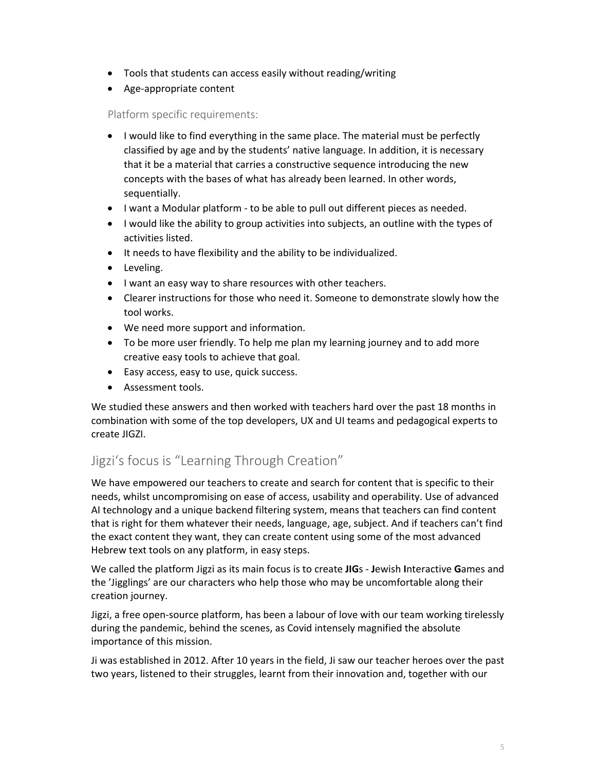- Tools that students can access easily without reading/writing
- Age-appropriate content

# Platform specific requirements:

- I would like to find everything in the same place. The material must be perfectly classified by age and by the students' native language. In addition, it is necessary that it be a material that carries a constructive sequence introducing the new concepts with the bases of what has already been learned. In other words, sequentially.
- I want a Modular platform to be able to pull out different pieces as needed.
- I would like the ability to group activities into subjects, an outline with the types of activities listed.
- It needs to have flexibility and the ability to be individualized.
- Leveling.
- I want an easy way to share resources with other teachers.
- Clearer instructions for those who need it. Someone to demonstrate slowly how the tool works.
- We need more support and information.
- To be more user friendly. To help me plan my learning journey and to add more creative easy tools to achieve that goal.
- Easy access, easy to use, quick success.
- Assessment tools.

We studied these answers and then worked with teachers hard over the past 18 months in combination with some of the top developers, UX and UI teams and pedagogical experts to create JIGZI.

# Jigzi's focus is "Learning Through Creation"

We have empowered our teachers to create and search for content that is specific to their needs, whilst uncompromising on ease of access, usability and operability. Use of advanced AI technology and a unique backend filtering system, means that teachers can find content that is right for them whatever their needs, language, age, subject. And if teachers can't find the exact content they want, they can create content using some of the most advanced Hebrew text tools on any platform, in easy steps.

We called the platform Jigzi as its main focus is to create **JIG**s ‐ **J**ewish **I**nteractive **G**ames and the 'Jigglings' are our characters who help those who may be uncomfortable along their creation journey.

Jigzi, a free open‐source platform, has been a labour of love with our team working tirelessly during the pandemic, behind the scenes, as Covid intensely magnified the absolute importance of this mission.

Ji was established in 2012. After 10 years in the field, Ji saw our teacher heroes over the past two years, listened to their struggles, learnt from their innovation and, together with our